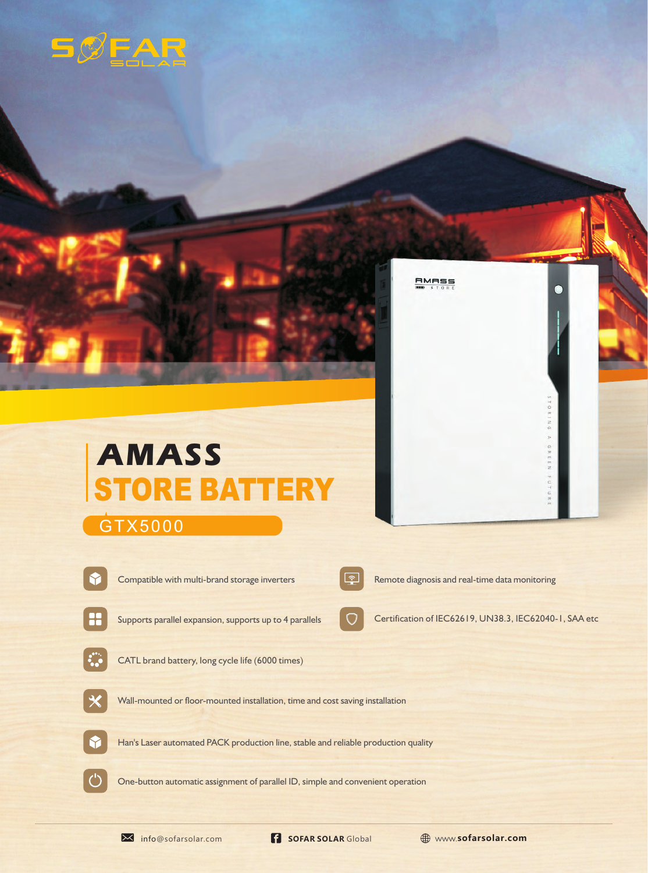## $5$



## GTX5000



 $\binom{1}{2}$ 

CATL brand battery, long cycle life (6000 times)

Supports parallel expansion, supports up to 4 parallels

 $\Box$ 

Compatible with multi-brand storage inverters Remote diagnosis and real-time data monitoring

**AMASS** 

Certification of IEC62619, UN38.3, IEC62040-1, SAA etc

One-button automatic assignment of parallel ID, simple and convenient operation

Han's Laser automated PACK production line, stable and reliable production quality

Wall-mounted or floor-mounted installation, time and cost saving installation